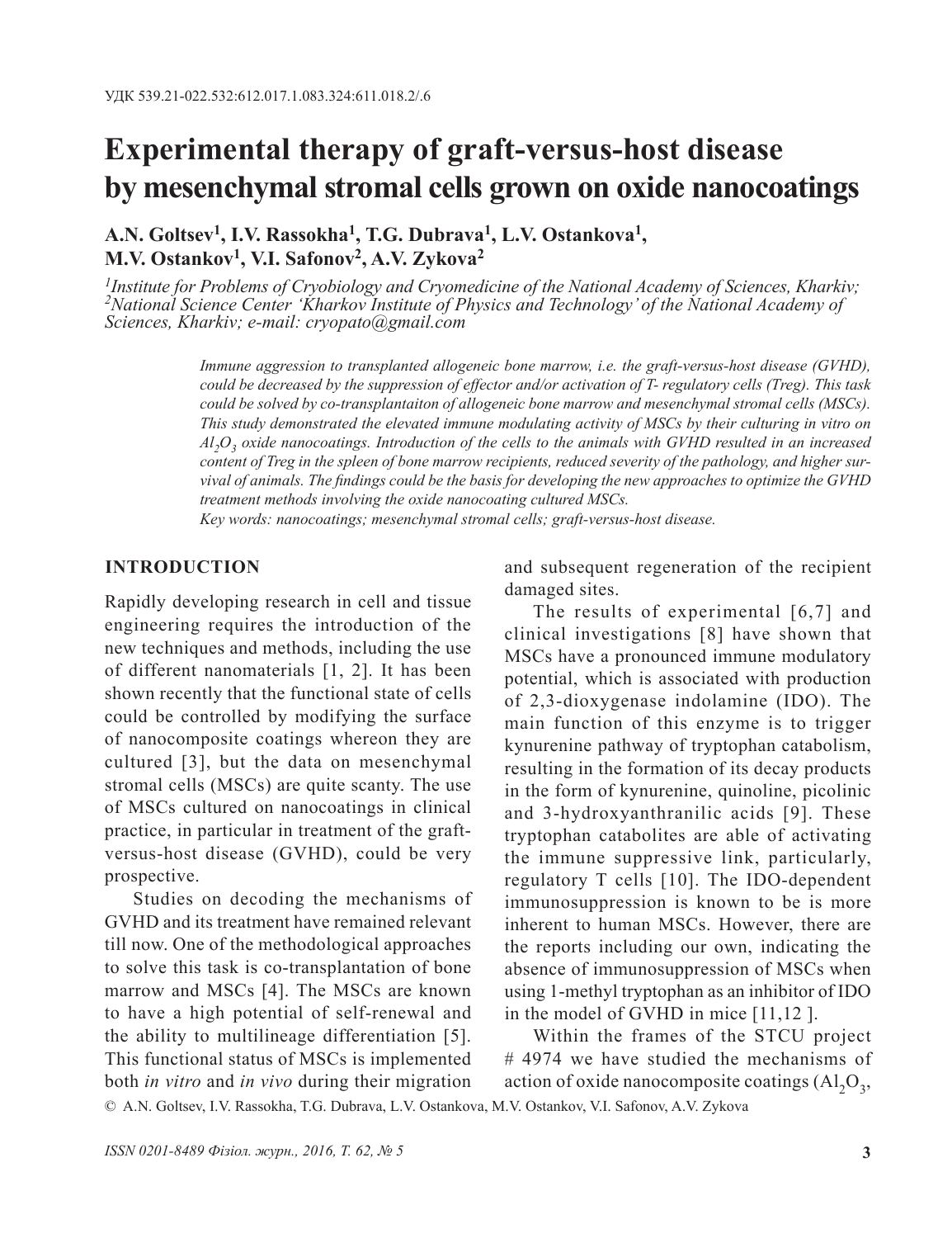# **Experimental therapy of graft-versus-host disease by mesenchymal stromal cells grown on oxide nanocoatings**

**A.N. Goltsev1, I.V. Rassokha1, T.G. Dubrava1, L.V. Ostankova1, M.V. Ostankov1, V.I. Safonov2, A.V. Zykova2**

*1Institute for Problems of Cryobiology and Cryomedicine of the National Academy of Sciences, Kharkiv; 2National Science Center 'Kharkov Institute of Physics and Technology' of the National Academy of Sciences, Kharkiv; e-mail: cryopato@gmail.com*

> *Immune aggression to transplanted allogeneic bone marrow, i.e. the graft-versus-host disease (GVHD), could be decreased by the suppression of effector and/or activation of T- regulatory cells (Тreg). This task could be solved by co-transplantaiton of allogeneic bone marrow and mesenchymal stromal cells (MSCs). This study demonstrated the elevated immune modulating activity of MSCs by their culturing in vitro on Al2O3 oxide nanocoatings. Introduction of the cells to the animals with GVHD resulted in an increased content of Treg in the spleen of bone marrow recipients, reduced severity of the pathology, and higher survival of animals. The findings could be the basis for developing the new approaches to optimize the GVHD treatment methods involving the oxide nanocoating cultured MSCs.*

*Key words: nanocoatings; mesenchymal stromal cells; graft-versus-host disease.*

#### **INTRODUCTION**

Rapidly developing research in cell and tissue engineering requires the introduction of the new techniques and methods, including the use of different nanomaterials [1, 2]. It has been shown recently that the functional state of cells could be controlled by modifying the surface of nanocomposite coatings whereon they are cultured [3], but the data on mesenchymal stromal cells (MSCs) are quite scanty. The use of MSCs cultured on nanocoatings in clinical practice, in particular in treatment of the graftversus-host disease (GVHD), could be very prospective.

Studies on decoding the mechanisms of GVHD and its treatment have remained relevant till now. One of the methodological approaches to solve this task is co-transplantation of bone marrow and MSCs [4]. The MSCs are known to have a high potential of self-renewal and the ability to multilineage differentiation [5]. This functional status of MSCs is implemented both *in vitro* and *in vivo* during their migration

and subsequent regeneration of the recipient damaged sites.

The results of experimental [6,7] and clinical investigations [8] have shown that MSCs have a pronounced immune modulatory potential, which is associated with production of 2,3-dioxygenase indolamine (IDO). The main function of this enzyme is to trigger kynurenine pathway of tryptophan catabolism, resulting in the formation of its decay products in the form of kynurenine, quinoline, picolinic and 3-hydroxyanthranilic acids [9]. These tryptophan catabolites are able of activating the immune suppressive link, particularly, regulatory T cells [10]. The IDO-dependent immunosuppression is known to be is more inherent to human MSCs. However, there are the reports including our own, indicating the absence of immunosuppression of MSCs when using 1-methyl tryptophan as an inhibitor of IDO in the model of GVHD in mice [11,12 ].

Within the frames of the STCU project # 4974 we have studied the mechanisms of action of oxide nanocomposite coatings  $(Al_2O_3,$ 

© A.N. Goltsev, I.V. Rassokha, T.G. Dubrava, L.V. Ostankova, M.V. Ostankov, V.I. Safonov, A.V. Zykova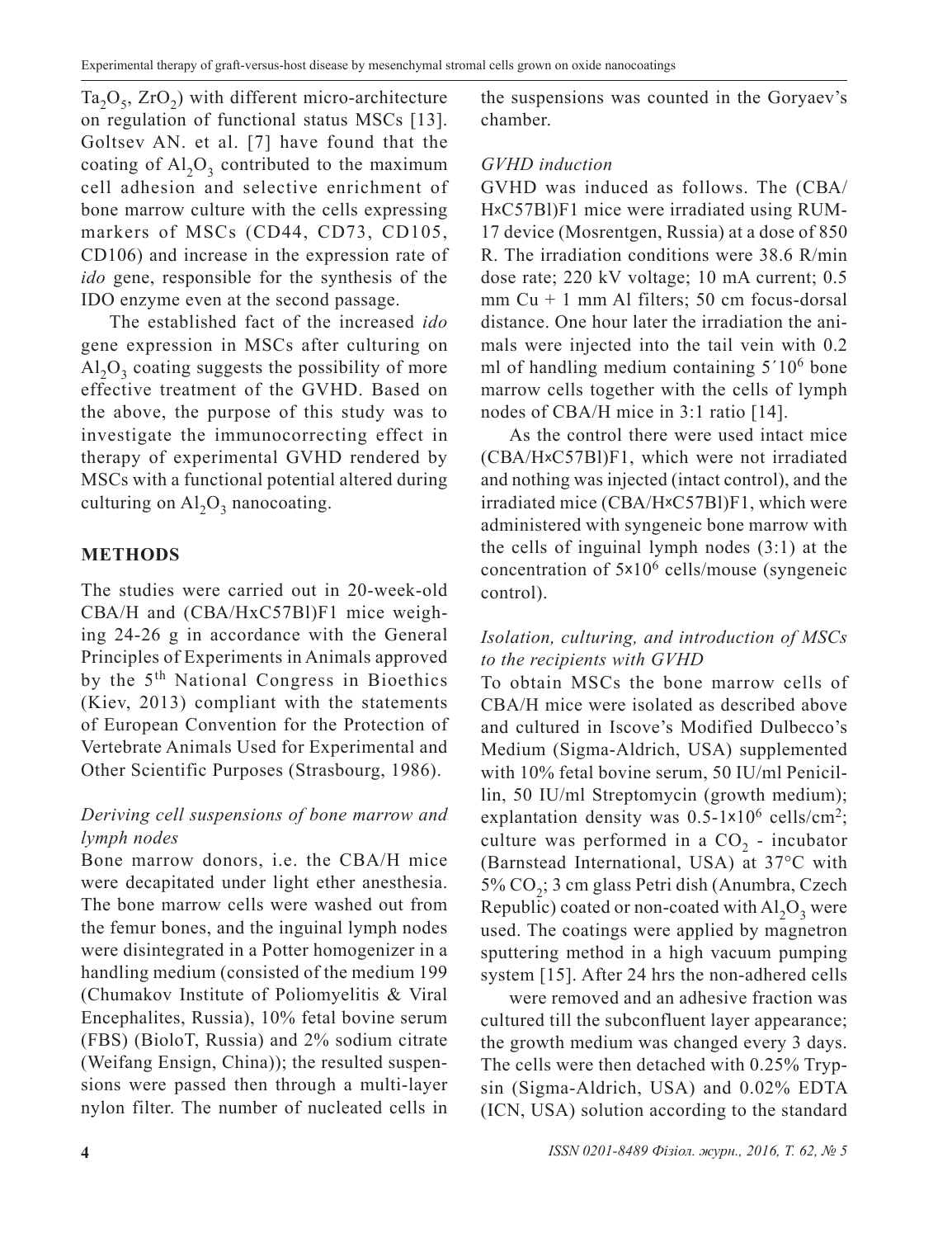$Ta_2O_5$ ,  $ZrO_2$ ) with different micro-architecture on regulation of functional status MSCs [13]. Goltsev AN. et al. [7] have found that the coating of  $Al_2O_3$  contributed to the maximum cell adhesion and selective enrichment of bone marrow culture with the cells expressing markers of MSCs (CD44, CD73, CD105, CD106) and increase in the expression rate of *ido* gene, responsible for the synthesis of the IDO enzyme even at the second passage.

The established fact of the increased *ido*  gene expression in MSCs after culturing on  $Al_2O_3$  coating suggests the possibility of more effective treatment of the GVHD. Based on the above, the purpose of this study was to investigate the immunocorrecting effect in therapy of experimental GVHD rendered by MSCs with a functional potential altered during culturing on  $\text{Al}_2\text{O}_3$  nanocoating.

# **METHODS**

The studies were carried out in 20-week-old СВА/Н and (СВА/НхС57Вl)F1 mice weighing 24-26 g in accordance with the General Principles of Experiments in Animals approved by the 5th National Congress in Bioethics (Kiev, 2013) compliant with the statements of European Convention for the Protection of Vertebrate Animals Used for Experimental and Other Scientific Purposes (Strasbourg, 1986).

## *Deriving cell suspensions of bone marrow and lymph nodes*

Bone marrow donors, i.e. the CBA/H mice were decapitated under light ether anesthesia. The bone marrow cells were washed out from the femur bones, and the inguinal lymph nodes were disintegrated in a Potter homogenizer in a handling medium (consisted of the medium 199 (Chumakov Institute of Poliomyelitis & Viral Encephalites, Russia), 10% fetal bovine serum (FBS) (BioloT, Russia) and 2% sodium citrate (Weifang Ensign, China)); the resulted suspensions were passed then through a multi-layer nylon filter. The number of nucleated cells in the suspensions was counted in the Goryaev's chamber.

#### *GVHD induction*

GVHD was induced as follows. The (СВА/ НxС57Вl)F1 mice were irradiated using RUM-17 device (Mosrentgen, Russia) at a dose of 850 R. The irradiation conditions were 38.6 R/min dose rate; 220 kV voltage; 10 mA current; 0.5 mm Cu + 1 mm Al filters; 50 cm focus-dorsal distance. One hour later the irradiation the animals were injected into the tail vein with 0.2 ml of handling medium containing  $5'10^6$  bone marrow cells together with the cells of lymph nodes of CBA/H mice in 3:1 ratio [14].

As the control there were used intact mice (СВА/НxС57Вl)F1, which were not irradiated and nothing was injected (intact control), and the irradiated mice (СВА/НxС57Вl)F1, which were administered with syngeneic bone marrow with the cells of inguinal lymph nodes (3:1) at the concentration of 5x106 cells/mouse (syngeneic control).

# *Isolation, culturing, and introduction of MSCs to the recipients with GVHD*

To obtain MSCs the bone marrow cells of CBA/H mice were isolated as described above and cultured in Iscove's Modified Dulbecco's Medium (Sigma-Aldrich, USA) supplemented with 10% fetal bovine serum, 50 IU/ml Penicillin, 50 IU/ml Streptomycin (growth medium); explantation density was  $0.5-1\times10^6$  cells/cm<sup>2</sup>; culture was performed in a  $CO<sub>2</sub>$  - incubator (Barnstead International, USA) at 37°C with 5% CO<sub>2</sub>; 3 cm glass Petri dish (Anumbra, Czech Republic) coated or non-coated with  $AI_2O_3$  were used. The coatings were applied by magnetron sputtering method in a high vacuum pumping system [15]. After 24 hrs the non-adhered cells

were removed and an adhesive fraction was cultured till the subconfluent layer appearance; the growth medium was changed every 3 days. The cells were then detached with 0.25% Trypsin (Sigma-Aldrich, USA) and 0.02% EDTA (ICN, USA) solution according to the standard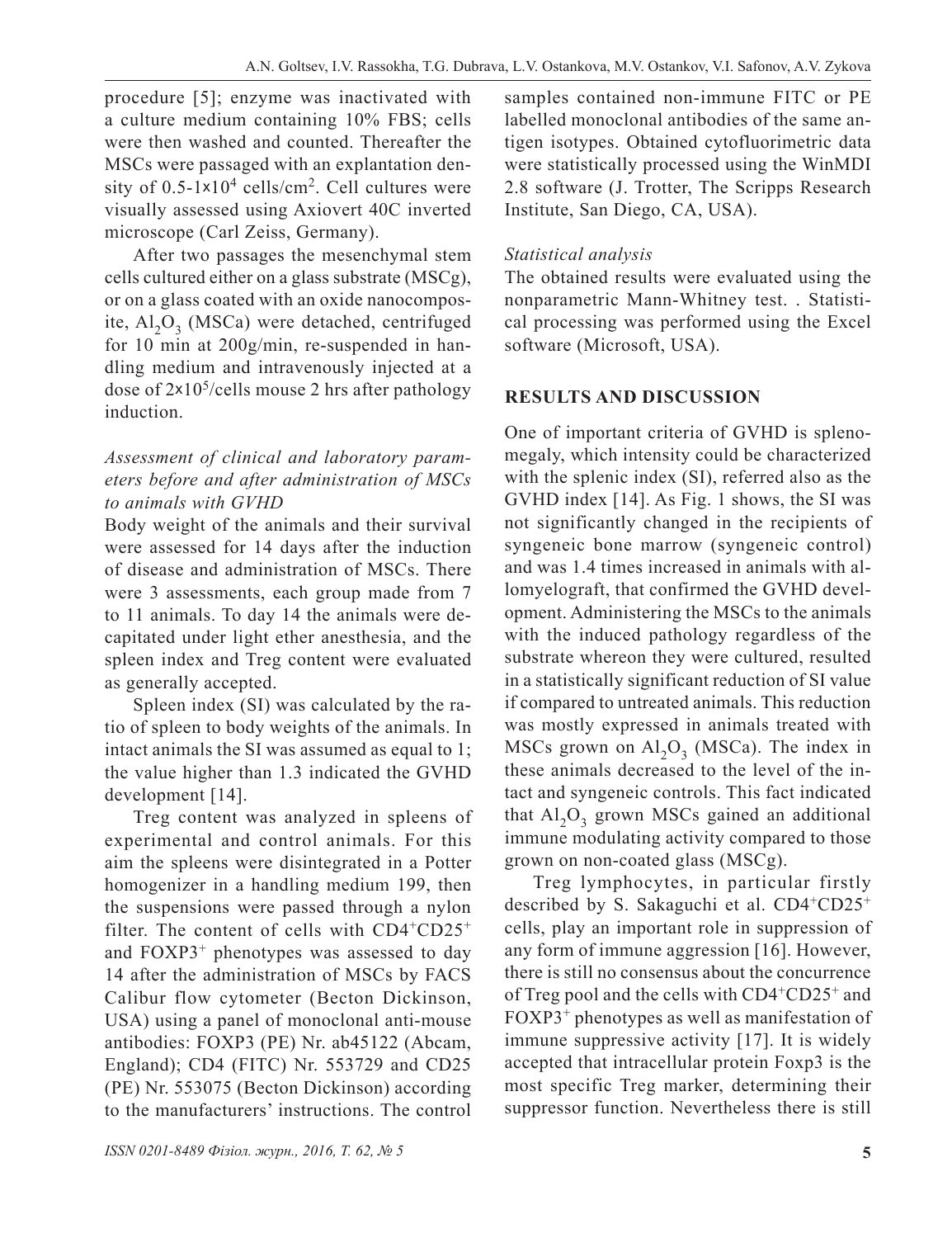procedure [5]; enzyme was inactivated with a culture medium containing 10% FBS; cells were then washed and counted. Thereafter the MSCs were passaged with an explantation density of  $0.5$ -1×10<sup>4</sup> cells/cm<sup>2</sup>. Cell cultures were visually assessed using Axiovert 40C inverted microscope (Carl Zeiss, Germany).

After two passages the mesenchymal stem cells cultured either on a glass substrate (MSCg), or on a glass coated with an oxide nanocomposite,  $AI<sub>2</sub>O<sub>3</sub>$  (MSCa) were detached, centrifuged for 10 min at 200g/min, re-suspended in handling medium and intravenously injected at a dose of  $2 \times 10^5$ /cells mouse 2 hrs after pathology induction.

## *Assessment of clinical and laboratory parameters before and after administration of MSCs to animals with GVHD*

Body weight of the animals and their survival were assessed for 14 days after the induction of disease and administration of MSCs. There were 3 assessments, each group made from 7 to 11 animals. To day 14 the animals were decapitated under light ether anesthesia, and the spleen index and Treg content were evaluated as generally accepted.

Spleen index (SI) was calculated by the ratio of spleen to body weights of the animals. In intact animals the SI was assumed as equal to 1; the value higher than 1.3 indicated the GVHD development [14].

Treg content was analyzed in spleens of experimental and control animals. For this aim the spleens were disintegrated in a Potter homogenizer in a handling medium 199, then the suspensions were passed through a nylon filter. The content of cells with  $CD4+CD25+$ and FOXP3+ phenotypes was assessed to day 14 after the administration of MSCs by FACS Calibur flow cytometer (Becton Dickinson, USA) using a panel of monoclonal anti-mouse antibodies: FOXP3 (PE) Nr. ab45122 (Abcam, England); CD4 (FITC) Nr. 553729 and CD25 (PE) Nr. 553075 (Becton Dickinson) according to the manufacturers' instructions. The control samples contained non-immune FITC or PE labelled monoclonal antibodies of the same antigen isotypes. Obtained cytofluorimetric data were statistically processed using the WinMDI 2.8 software (J. Trotter, The Scripps Research Institute, San Diego, CA, USA).

# *Statistical analysis*

The obtained results were evaluated using the nonparametric Mann-Whitney test. . Statistical processing was performed using the Excel software (Microsoft, USA).

# **RESULTS AND DISCUSSION**

One of important criteria of GVHD is splenomegaly, which intensity could be characterized with the splenic index (SI), referred also as the GVHD index [14]. As Fig. 1 shows, the SI was not significantly changed in the recipients of syngeneic bone marrow (syngeneic control) and was 1.4 times increased in animals with allomyelograft, that confirmed the GVHD development. Administering the MSCs to the animals with the induced pathology regardless of the substrate whereon they were cultured, resulted in a statistically significant reduction of SI value if compared to untreated animals. This reduction was mostly expressed in animals treated with MSCs grown on  $Al_2O_3$  (MSCa). The index in these animals decreased to the level of the intact and syngeneic controls. This fact indicated that  $Al_2O_3$  grown MSCs gained an additional immune modulating activity compared to those grown on non-coated glass (MSCg).

Treg lymphocytes, in particular firstly described by S. Sakaguchi et al.  $CD4+CD25+$ cells, play an important role in suppression of any form of immune aggression [16]. However, there is still no consensus about the concurrence of Treg pool and the cells with CD4+CD25+ and FOXP3+ phenotypes as well as manifestation of immune suppressive activity [17]. It is widely accepted that intracellular protein Foxp3 is the most specific Treg marker, determining their suppressor function. Nevertheless there is still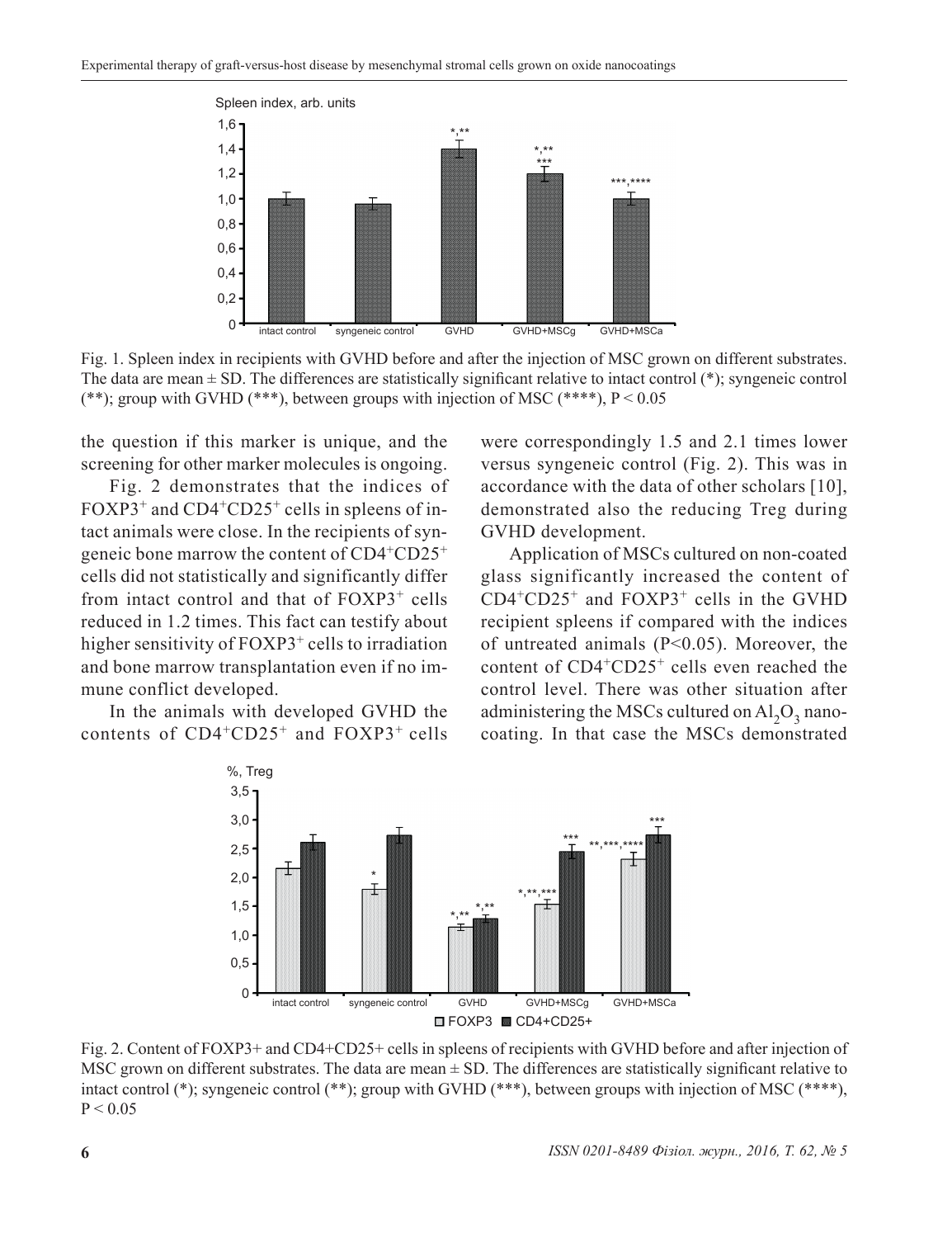

Fig. 1. Spleen index in recipients with GVHD before and after the injection of MSC grown on different substrates. The data are mean  $\pm$  SD. The differences are statistically significant relative to intact control  $(*)$ ; syngeneic control (\*\*); group with GVHD (\*\*\*), between groups with injection of MSC (\*\*\*\*),  $P < 0.05$ 

the question if this marker is unique, and the screening for other marker molecules is ongoing.

Fig. 2 demonstrates that the indices of FOXP3<sup>+</sup> and CD4<sup>+</sup>CD25<sup>+</sup> cells in spleens of intact animals were close. In the recipients of syngeneic bone marrow the content of CD4+CD25<sup>+</sup> cells did not statistically and significantly differ from intact control and that of FOXP3<sup>+</sup> cells reduced in 1.2 times. This fact can testify about higher sensitivity of FOXP3<sup>+</sup> cells to irradiation and bone marrow transplantation even if no immune conflict developed.

In the animals with developed GVHD the contents of  $CD4+CD25+$  and  $FOXP3+$  cells

were correspondingly 1.5 and 2.1 times lower versus syngeneic control (Fig. 2). This was in accordance with the data of other scholars [10], demonstrated also the reducing Treg during GVHD development.

Application of MSCs cultured on non-coated glass significantly increased the content of  $CD4^+CD25^+$  and  $FOXP3^+$  cells in the GVHD recipient spleens if compared with the indices of untreated animals (Р<0.05). Moreover, the content of CD4+CD25+ cells even reached the control level. There was other situation after administering the MSCs cultured on  $Al_2O_3$  nanocoating. In that case the MSCs demonstrated



Fig. 2. Content of FOXP3+ and CD4+CD25+ cells in spleens of recipients with GVHD before and after injection of MSC grown on different substrates. The data are mean  $\pm$  SD. The differences are statistically significant relative to intact control (\*); syngeneic control (\*\*); group with GVHD (\*\*\*), between groups with injection of MSC (\*\*\*\*),  $P < 0.05$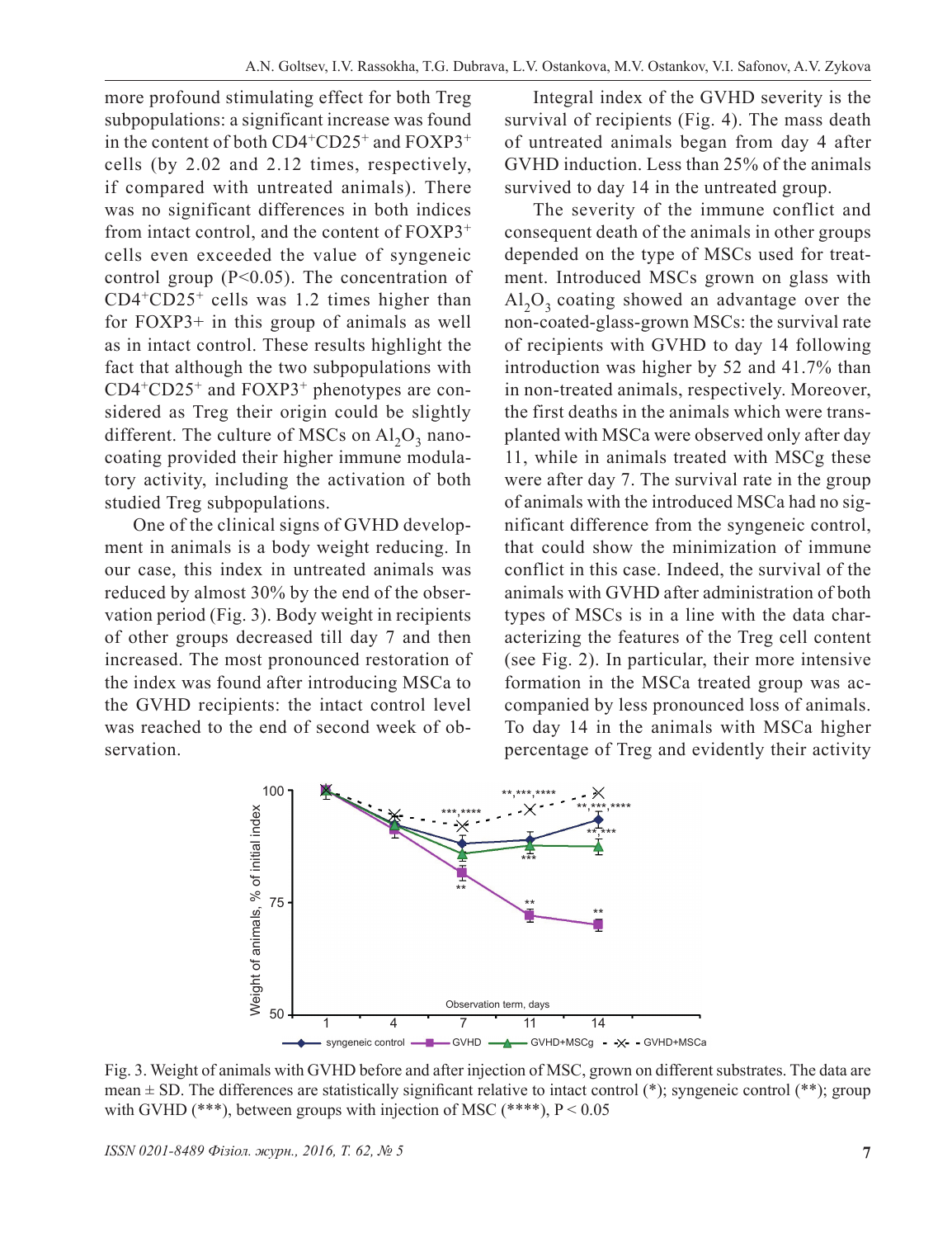more profound stimulating effect for both Treg subpopulations: a significant increase was found in the content of both CD4+CD25+ and FOXP3<sup>+</sup> cells (by 2.02 and 2.12 times, respectively, if compared with untreated animals). There was no significant differences in both indices from intact control, and the content of FOXP3<sup>+</sup> cells even exceeded the value of syngeneic control group (P<0.05). The concentration of  $CD4+CD25+$  cells was 1.2 times higher than for FOXP3+ in this group of animals as well as in intact control. These results highlight the fact that although the two subpopulations with  $CD4^+CD25^+$  and  $FOXP3^+$  phenotypes are considered as Treg their origin could be slightly different. The culture of MSCs on  $\text{Al}_2\text{O}_3$  nanocoating provided their higher immune modulatory activity, including the activation of both studied Treg subpopulations.

One of the clinical signs of GVHD development in animals is a body weight reducing. In our case, this index in untreated animals was reduced by almost 30% by the end of the observation period (Fig. 3). Body weight in recipients of other groups decreased till day 7 and then increased. The most pronounced restoration of the index was found after introducing MSCa to the GVHD recipients: the intact control level was reached to the end of second week of observation.

Integral index of the GVHD severity is the survival of recipients (Fig. 4). The mass death of untreated animals began from day 4 after GVHD induction. Less than 25% of the animals survived to day 14 in the untreated group.

The severity of the immune conflict and consequent death of the animals in other groups depended on the type of MSCs used for treatment. Introduced MSCs grown on glass with  $Al_2O_3$  coating showed an advantage over the non-coated-glass-grown MSCs: the survival rate of recipients with GVHD to day 14 following introduction was higher by 52 and 41.7% than in non-treated animals, respectively. Moreover, the first deaths in the animals which were transplanted with MSCa were observed only after day 11, while in animals treated with MSCg these were after day 7. The survival rate in the group of animals with the introduced MSCa had no significant difference from the syngeneic control, that could show the minimization of immune conflict in this case. Indeed, the survival of the animals with GVHD after administration of both types of MSCs is in a line with the data characterizing the features of the Treg cell content (see Fig. 2). In particular, their more intensive formation in the MSCa treated group was accompanied by less pronounced loss of animals. To day 14 in the animals with MSCa higher percentage of Treg and evidently their activity



Fig. 3. Weight of animals with GVHD before and after injection of MSC, grown on different substrates. The data are mean  $\pm$  SD. The differences are statistically significant relative to intact control (\*); syngeneic control (\*\*); group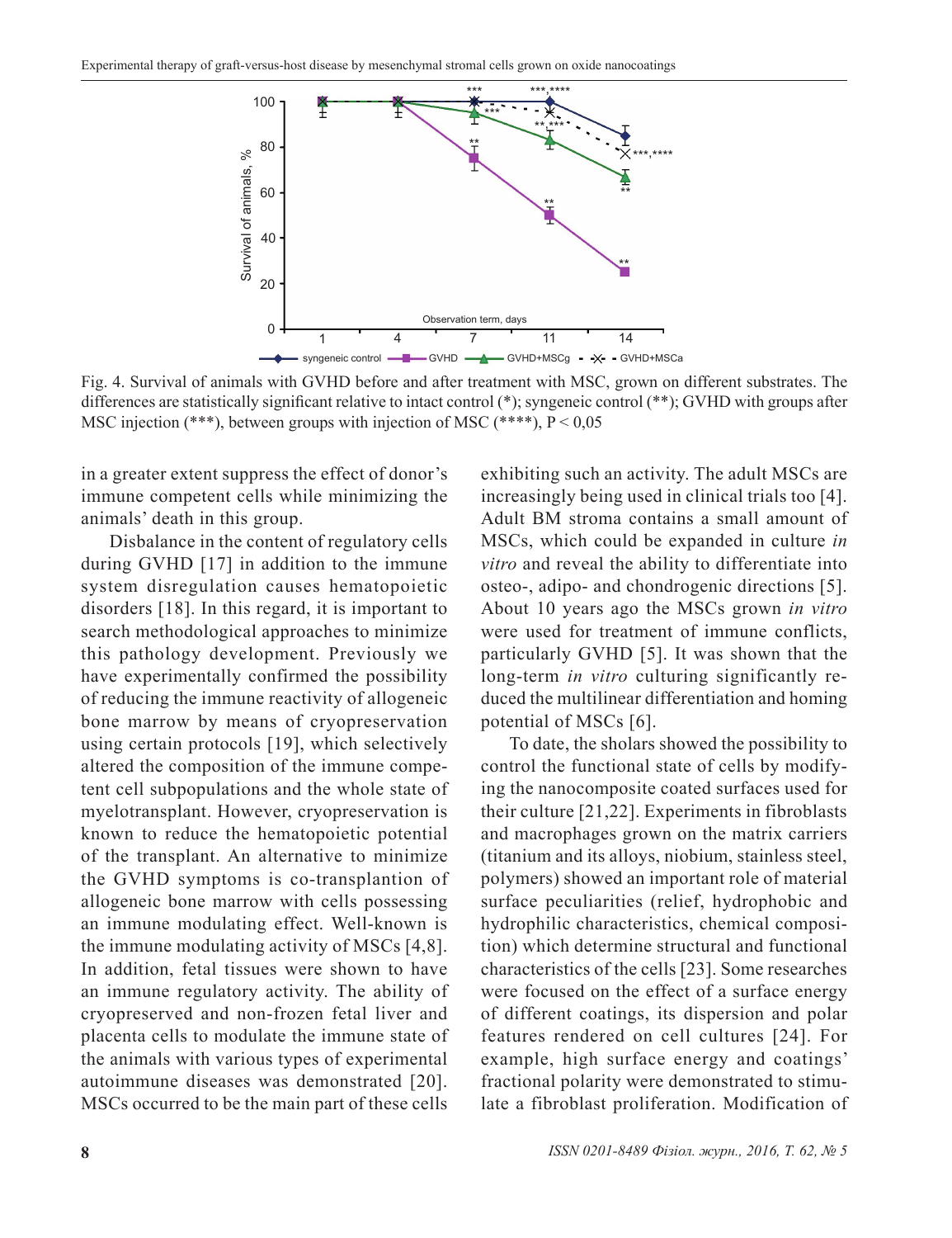

Fig. 4. Survival of animals with GVHD before and after treatment with MSC, grown on different substrates. The differences are statistically significant relative to intact control (\*); syngeneic control (\*\*); GVHD with groups after

in a greater extent suppress the effect of donor's immune competent cells while minimizing the animals' death in this group.

Disbalance in the content of regulatory cells during GVHD [17] in addition to the immune system disregulation causes hematopoietic disorders [18]. In this regard, it is important to search methodological approaches to minimize this pathology development. Previously we have experimentally confirmed the possibility of reducing the immune reactivity of allogeneic bone marrow by means of cryopreservation using certain protocols [19], which selectively altered the composition of the immune competent cell subpopulations and the whole state of myelotransplant. However, cryopreservation is known to reduce the hematopoietic potential of the transplant. An alternative to minimize the GVHD symptoms is co-transplantion of allogeneic bone marrow with cells possessing an immune modulating effect. Well-known is the immune modulating activity of MSCs [4,8]. In addition, fetal tissues were shown to have an immune regulatory activity. The ability of cryopreserved and non-frozen fetal liver and placenta cells to modulate the immune state of the animals with various types of experimental autoimmune diseases was demonstrated [20]. MSCs occurred to be the main part of these cells

exhibiting such an activity. The adult MSCs are increasingly being used in clinical trials too [4]. Adult BM stroma contains a small amount of MSCs, which could be expanded in culture *in vitro* and reveal the ability to differentiate into osteo-, adipo- and chondrogenic directions [5]. About 10 years ago the MSCs grown *in vitro*  were used for treatment of immune conflicts, particularly GVHD [5]. It was shown that the long-term *in vitro* culturing significantly reduced the multilinear differentiation and homing potential of MSCs [6].

To date, the sholars showed the possibility to control the functional state of cells by modifying the nanocomposite coated surfaces used for their culture [21,22]. Experiments in fibroblasts and macrophages grown on the matrix carriers (titanium and its alloys, niobium, stainless steel, polymers) showed an important role of material surface peculiarities (relief, hydrophobic and hydrophilic characteristics, chemical composition) which determine structural and functional characteristics of the cells [23]. Some researches were focused on the effect of a surface energy of different coatings, its dispersion and polar features rendered on cell cultures [24]. For example, high surface energy and coatings' fractional polarity were demonstrated to stimulate a fibroblast proliferation. Modification of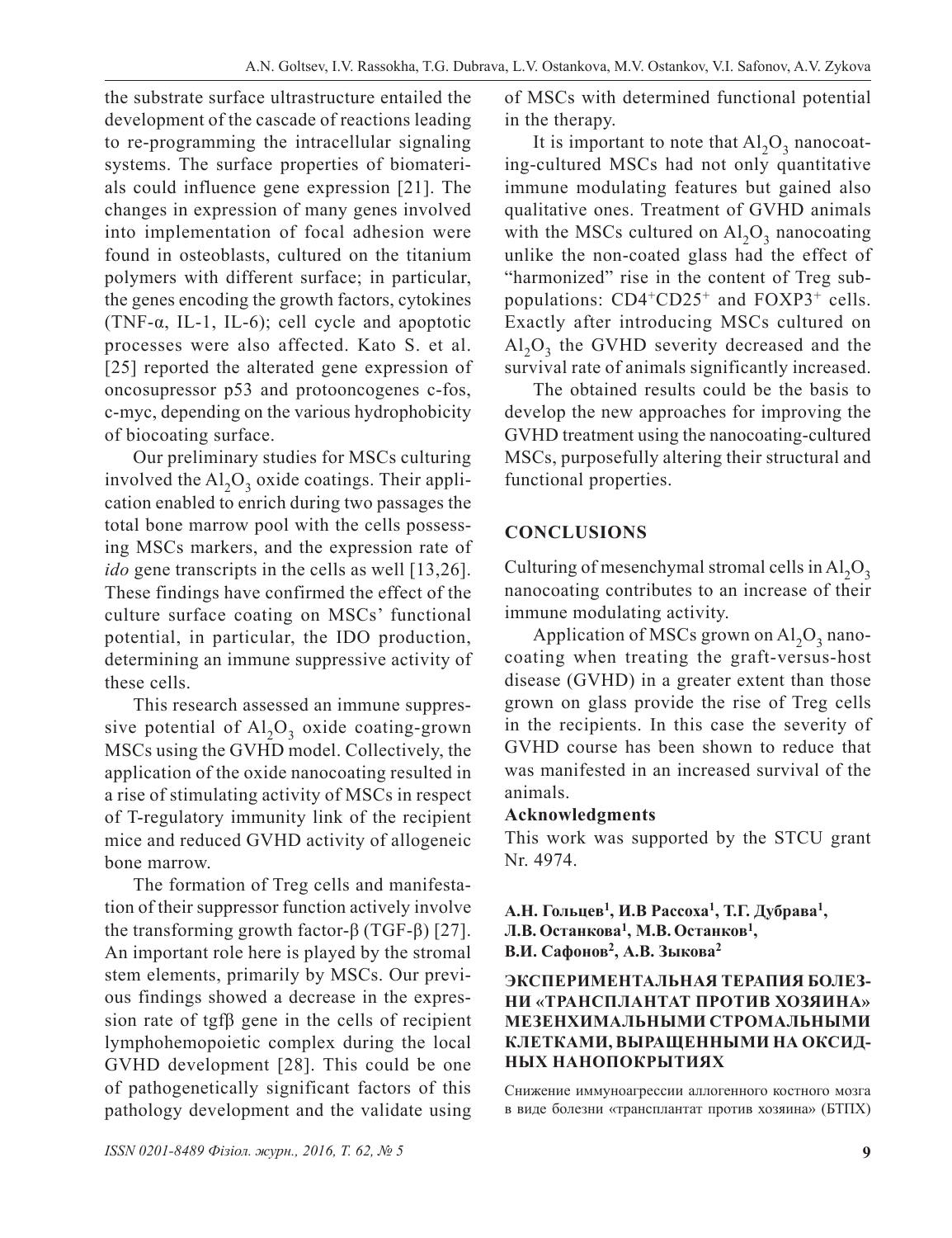the substrate surface ultrastructure entailed the development of the cascade of reactions leading to re-programming the intracellular signaling systems. The surface properties of biomaterials could influence gene expression [21]. The changes in expression of many genes involved into implementation of focal adhesion were found in osteoblasts, cultured on the titanium polymers with different surface; in particular, the genes encoding the growth factors, cytokines (TNF-α, IL-1, IL-6); cell cycle and apoptotic processes were also affected. Kato S. et al. [25] reported the alterated gene expression of oncosupressor p53 and protooncogenes c-fos, c-myc, depending on the various hydrophobicity of biocoating surface.

Our preliminary studies for MSCs culturing involved the  $AI<sub>2</sub>O<sub>3</sub>$  oxide coatings. Their application enabled to enrich during two passages the total bone marrow pool with the cells possessing MSCs markers, and the expression rate of *ido* gene transcripts in the cells as well [13,26]. These findings have confirmed the effect of the culture surface coating on MSCs' functional potential, in particular, the IDO production, determining an immune suppressive activity of these cells.

This research assessed an immune suppressive potential of  $AI_2O_3$  oxide coating-grown MSCs using the GVHD model. Collectively, the application of the oxide nanocoating resulted in a rise of stimulating activity of MSCs in respect of T-regulatory immunity link of the recipient mice and reduced GVHD activity of allogeneic bone marrow.

The formation of Treg cells and manifestation of their suppressor function actively involve the transforming growth factor-β (TGF-β) [27]. An important role here is played by the stromal stem elements, primarily by MSCs. Our previous findings showed a decrease in the expression rate of tgfβ gene in the cells of recipient lymphohemopoietic complex during the local GVHD development [28]. This could be one of pathogenetically significant factors of this pathology development and the validate using of MSCs with determined functional potential in the therapy.

It is important to note that  $Al_2O_3$  nanocoating-cultured MSCs had not only quantitative immune modulating features but gained also qualitative ones. Treatment of GVHD animals with the MSCs cultured on  $Al_2O_3$  nanocoating unlike the non-coated glass had the effect of "harmonized" rise in the content of Treg subpopulations:  $CD4+CD25+$  and  $FOXP3+$  cells. Exactly after introducing MSCs cultured on  $Al_2O_3$  the GVHD severity decreased and the survival rate of animals significantly increased.

The obtained results could be the basis to develop the new approaches for improving the GVHD treatment using the nanocoating-cultured MSCs, purposefully altering their structural and functional properties.

# **CONCLUSIONS**

Culturing of mesenchymal stromal cells in  $Al_2O_3$ nanocoating contributes to an increase of their immune modulating activity.

Application of MSCs grown on  $Al_2O_3$  nanocoating when treating the graft-versus-host disease (GVHD) in a greater extent than those grown on glass provide the rise of Treg cells in the recipients. In this case the severity of GVHD course has been shown to reduce that was manifested in an increased survival of the animals.

#### **Acknowledgments**

This work was supported by the STCU grant Nr. 4974.

**А.Н. Гольцев<sup>1</sup>, И.В Рассоха<sup>1</sup>, Т.Г. Дубрава1, Л.В. Останкова<sup>1</sup>, М.В. Останков1, В.И. Сафонов<sup>2</sup>, А.В. Зыкова<sup>2</sup>**

#### **ЭКСПЕРИМЕНТАЛЬНАЯ ТЕРАПИЯ БОЛЕЗ-НИ «ТРАНСПЛАНТАТ ПРОТИВ ХОЗЯИНА» МЕЗЕНХИМАЛЬНЫМИ СТРОМАЛЬНЫМИ КЛЕТКАМИ, ВЫРАЩЕННЫМИ НА ОКСИД-НЫХ НАНОПОКРЫТИЯХ**

Снижение иммуноагрессии аллогенного костного мозга в виде болезни «трансплантат против хозяина» (БТПХ)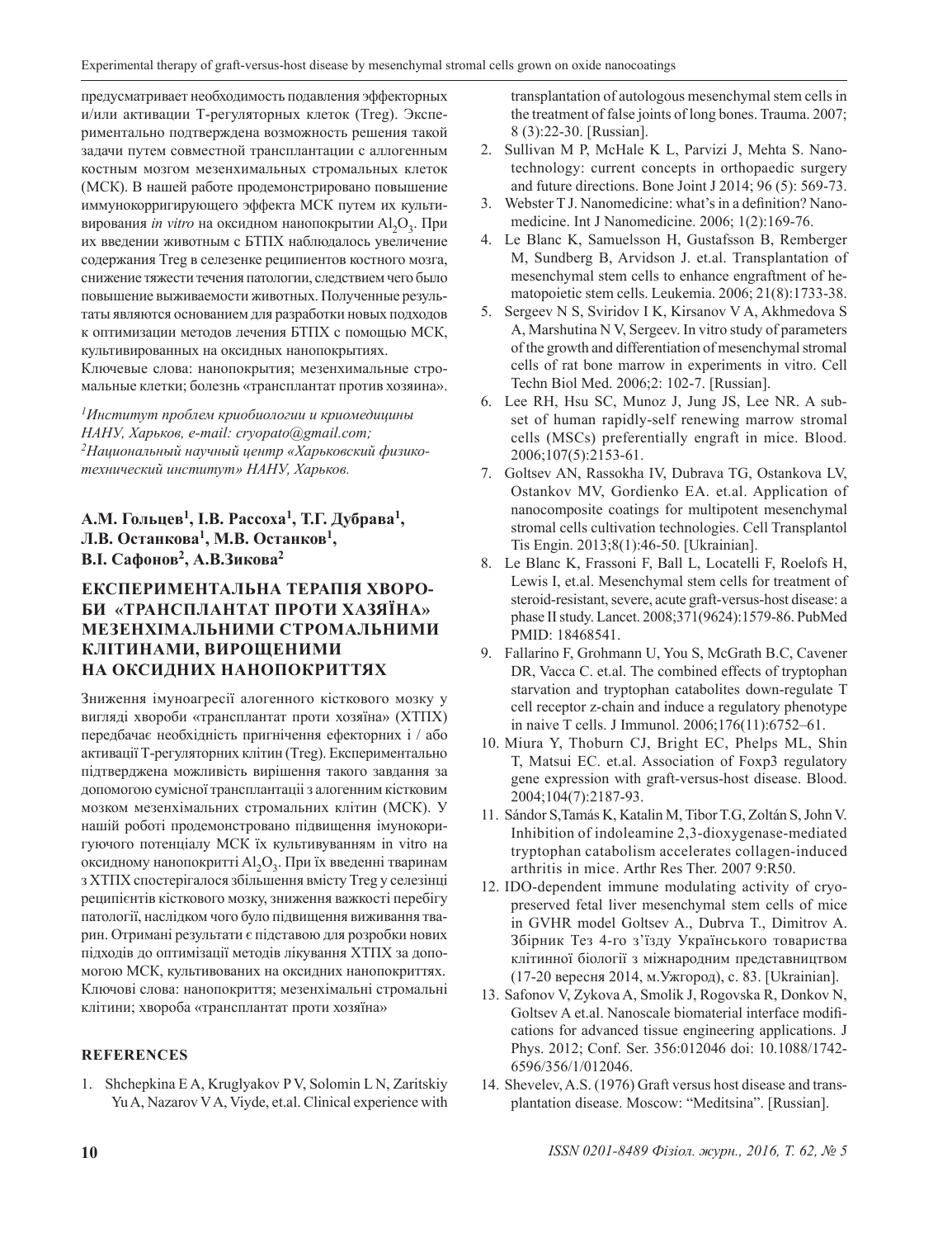предусматривает необходимость подавления эффекторных и/или активации Т-регуляторных клеток (Тreg). Экспериментально подтверждена возможность решения такой задачи путем совместной трансплантации с аллогенным костным мозгом мезенхимальных стромальных клеток (МСК). В нашей работе продемонстрировано повышение иммунокорригирующего эффекта МСК путем их культивирования *in vitro* на оксидном нанопокрытии  $Al_2O_3$ . При их введении животным с БТПХ наблюдалось увеличение содержания Тreg в селезенке реципиентов костного мозга, снижение тяжести течения патологии, следствием чего было повышение выживаемости животных. Полученные результаты являются основанием для разработки новых подходов к оптимизации методов лечения БТПХ с помощью МСК, культивированных на оксидных нанопокрытиях. Ключевые слова: нанопокрытия; мезенхимальные стромальные клетки; болезнь «трансплантат против хозяина».

*<sup>1</sup>Институт проблем криобиологии и криомедицины НАНУ, Харьков, е-mail: cryopato@gmail.com; 2Национальный научный центр «Харьковский физикотехнический институт» НАНУ, Харьков.*

#### **А.М. Гольцев<sup>1</sup>, І.В. Рассоха<sup>1</sup>, Т.Г. Дубрава1, Л.В. Останкова<sup>1</sup>, М.В. Останков1, В.І. Сафонов<sup>2</sup>, А.В.Зикова<sup>2</sup>**

#### **ЕКСПЕРИМЕНТАЛЬНА ТЕРАПІЯ ХВОРО-БИ «ТРАНСПЛАНТАТ ПРОТИ ХАЗЯЇНА» МЕЗЕНХІМАЛЬНИМИ СТРОМАЛЬНИМИ КЛІТИНАМИ, ВИРОЩЕНИМИ НА ОКСИДНИХ НАНОПОКРИТТЯХ**

Зниження імуноагресії алогенного кісткового мозку у вигляді хвороби «трансплантат проти хозяїна» (ХТПХ) передбачає необхідність пригнічення ефекторних і / або активації Т-регуляторних клітин (Тreg). Експериментально підтверджена можливість вирішення такого завдання за допомогою сумісної трансплантаціі з алогенним кістковим мозком мезенхімальних стромальних клітин (МСК). У нашій роботі продемонстровано підвищення імунокоригуючого потенціалу МСК їх культивуванням in vitro на оксидному нанопокритті Al<sub>2</sub>O<sub>2</sub>. При їх введенні тваринам з ХТПХ спостерігалося збільшення вмісту Тreg у селезінці реципієнтів кісткового мозку, зниження важкості перебігу патології, наслідком чого було підвищення виживання тварин. Отримані результати є підставою для розробки нових підходів до оптимізації методів лікування ХТПХ за допомогою МСК, культивованих на оксидних нанопокриттях. Ключові слова: нанопокриття; мезенхімальні стромальні клітини; хвороба «трансплантат проти хозяїна»

#### **REFERENCES**

1. Shchepkina E A, Kruglyakov P V, Solomin L N, Zaritskiy Yu A, Nazarov V A, Viyde, et.al. Clinical experience with transplantation of autologous mesenchymal stem cells in the treatment of false joints of long bones. Trauma. 2007; 8 (3):22-30. [Russian].

- 2. Sullivan M P, McHale K L, Parvizi J, Mehta S. Nanotechnology: current concepts in orthopaedic surgery and future directions. Bone Joint J 2014; 96 (5): 569-73.
- 3. Webster T J. Nanomedicine: what's in a definition? Nanomedicine. Int J Nanomedicine. 2006; 1(2):169-76.
- 4. Le Blanc K, Samuelsson H, Gustafsson B, Remberger M, Sundberg B, Arvidson J. et.al. Transplantation of mesenchymal stem cells to enhance engraftment of hematopoietic stem cells. Leukemia. 2006; 21(8):1733-38.
- 5. Sergeev N S, Sviridov I K, Kirsanov V A, Akhmedova S A, Marshutina N V, Sergeev. In vitro study of parameters of the growth and differentiation of mesenchymal stromal cells of rat bone marrow in experiments in vitro. Cell Techn Biol Med. 2006;2: 102-7. [Russian].
- 6. Lee RH, Hsu SC, Munoz J, Jung JS, Lee NR. A subset of human rapidly-self renewing marrow stromal cells (MSCs) preferentially engraft in mice. Blood. 2006;107(5):2153-61.
- 7. Goltsev AN, Rassokha IV, Dubrava TG, Ostankova LV, Ostankov MV, Gordienko EA. et.al. Application of nanocomposite coatings for multipotent mesenchymal stromal cells cultivation technologies. Cell Transplantol Tis Engin. 2013;8(1):46-50. [Ukrainian].
- 8. Le Blanc K, Frassoni F, Ball L, Locatelli F, Roelofs H, Lewis I, et.al. Mesenchymal stem cells for treatment of steroid-resistant, severe, acute graft-versus-host disease: a phase II study. Lancet. 2008;371(9624):1579-86. PubMed PMID: 18468541.
- 9. Fallarino F, Grohmann U, You S, McGrath B.C, Cavener DR, Vacca C. et.al. The сombined еffects of tryptophan starvation and tryptophan catabolites down-regulate T cell receptor z-chain and induce a regulatory phenotype in naive T cells. J Immunol. 2006;176(11):6752–61.
- 10. Miura Y, Thoburn CJ, Bright EC, Phelps ML, Shin T, Matsui EC. et.al. Association of Foxp3 regulatory gene expression with graft-versus-host disease. Blood. 2004;104(7):2187-93.
- 11. Sándor S,Tamás K, Katalin M, TiborT.G, Zoltán S, John V. Inhibition of indoleamine 2,3-dioxygenase-mediated tryptophan catabolism accelerates collagen-induced arthritis in micе. Arthr Res Ther. 2007 9:R50.
- 12. IDO-dependent immune modulating activity of cryopreserved fetal liver mesenchymal stem cells of mice in GVHR model Goltsev A., Dubrva T., Dimitrov A. Збірник Тез 4-го з'їзду Українського товариства клітинної біології з міжнародним представництвом (17-20 вересня 2014, м.Ужгород), с. 83. [Ukrainian].
- 13. Safonov V, Zykova A, Smolik J, Rogovska R, Donkov N, Goltsev A et.al. Nanoscale biomaterial interface modifications for advanced tissue engineering applications. J Phys. 2012; Conf. Ser. 356:012046 doi: 10.1088/1742- 6596/356/1/012046.
- 14. Shevelev, A.S. (1976) Graft versus host disease and transplantation disease. Moscow: "Meditsina". [Russian].